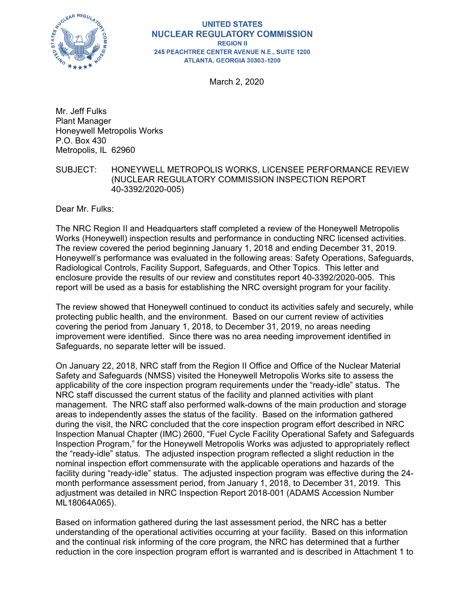

#### **UNITED STATES NUCLEAR REGULATORY COMMISSION REGION II** 245 PEACHTREE CENTER AVENUE N.E., SUITE 1200 ATLANTA, GEORGIA 30303-1200

March 2, 2020

Mr. Jeff Fulks Plant Manager Honeywell Metropolis Works P.O. Box 430 Metropolis, IL 62960

#### SUBJECT: HONEYWELL METROPOLIS WORKS, LICENSEE PERFORMANCE REVIEW (NUCLEAR REGULATORY COMMISSION INSPECTION REPORT 40-3392/2020-005)

Dear Mr. Fulks:

The NRC Region II and Headquarters staff completed a review of the Honeywell Metropolis Works (Honeywell) inspection results and performance in conducting NRC licensed activities. The review covered the period beginning January 1, 2018 and ending December 31, 2019. Honeywell's performance was evaluated in the following areas: Safety Operations, Safeguards, Radiological Controls, Facility Support, Safeguards, and Other Topics. This letter and enclosure provide the results of our review and constitutes report 40-3392/2020-005. This report will be used as a basis for establishing the NRC oversight program for your facility.

The review showed that Honeywell continued to conduct its activities safely and securely, while protecting public health, and the environment. Based on our current review of activities covering the period from January 1, 2018, to December 31, 2019, no areas needing improvement were identified. Since there was no area needing improvement identified in Safeguards, no separate letter will be issued.

On January 22, 2018, NRC staff from the Region II Office and Office of the Nuclear Material Safety and Safeguards (NMSS) visited the Honeywell Metropolis Works site to assess the applicability of the core inspection program requirements under the "ready-idle" status. The NRC staff discussed the current status of the facility and planned activities with plant management. The NRC staff also performed walk-downs of the main production and storage areas to independently asses the status of the facility. Based on the information gathered during the visit, the NRC concluded that the core inspection program effort described in NRC Inspection Manual Chapter (IMC) 2600, "Fuel Cycle Facility Operational Safety and Safeguards Inspection Program," for the Honeywell Metropolis Works was adjusted to appropriately reflect the "ready-idle" status. The adjusted inspection program reflected a slight reduction in the nominal inspection effort commensurate with the applicable operations and hazards of the facility during "ready-idle" status. The adjusted inspection program was effective during the 24 month performance assessment period, from January 1, 2018, to December 31, 2019. This adjustment was detailed in NRC Inspection Report 2018-001 (ADAMS Accession Number ML18064A065).

Based on information gathered during the last assessment period, the NRC has a better understanding of the operational activities occurring at your facility. Based on this information and the continual risk informing of the core program, the NRC has determined that a further reduction in the core inspection program effort is warranted and is described in Attachment 1 to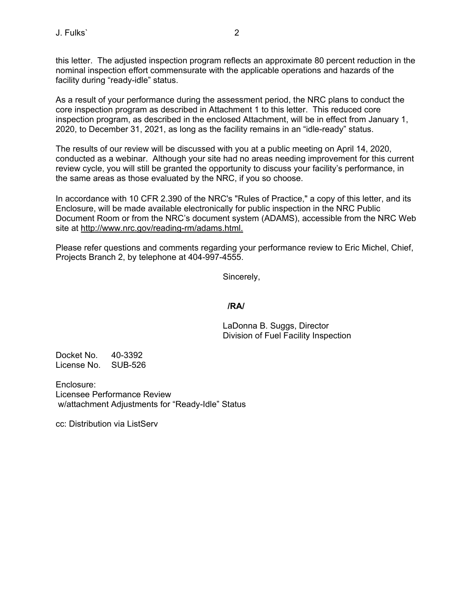this letter. The adjusted inspection program reflects an approximate 80 percent reduction in the nominal inspection effort commensurate with the applicable operations and hazards of the facility during "ready-idle" status.

As a result of your performance during the assessment period, the NRC plans to conduct the core inspection program as described in Attachment 1 to this letter. This reduced core inspection program, as described in the enclosed Attachment, will be in effect from January 1, 2020, to December 31, 2021, as long as the facility remains in an "idle-ready" status.

The results of our review will be discussed with you at a public meeting on April 14, 2020, conducted as a webinar. Although your site had no areas needing improvement for this current review cycle, you will still be granted the opportunity to discuss your facility's performance, in the same areas as those evaluated by the NRC, if you so choose.

In accordance with 10 CFR 2.390 of the NRC's "Rules of Practice," a copy of this letter, and its Enclosure, will be made available electronically for public inspection in the NRC Public Document Room or from the NRC's document system (ADAMS), accessible from the NRC Web site at http://www.nrc.gov/reading-rm/adams.html.

Please refer questions and comments regarding your performance review to Eric Michel, Chief, Projects Branch 2, by telephone at 404-997-4555.

Sincerely,

### **/RA/**

LaDonna B. Suggs, Director Division of Fuel Facility Inspection

Docket No. 40-3392 License No. SUB-526

Enclosure: Licensee Performance Review w/attachment Adjustments for "Ready-Idle" Status

cc: Distribution via ListServ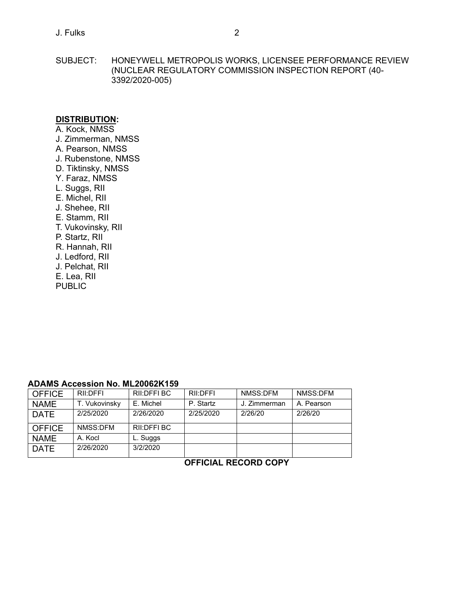SUBJECT: HONEYWELL METROPOLIS WORKS, LICENSEE PERFORMANCE REVIEW (NUCLEAR REGULATORY COMMISSION INSPECTION REPORT (40- 3392/2020-005)

### **DISTRIBUTION:**

A. Kock, NMSS J. Zimmerman, NMSS A. Pearson, NMSS J. Rubenstone, NMSS D. Tiktinsky, NMSS Y. Faraz, NMSS L. Suggs, RII E. Michel, RII J. Shehee, RII E. Stamm, RII T. Vukovinsky, RII P. Startz, RII R. Hannah, RII J. Ledford, RII J. Pelchat, RII E. Lea, RII PUBLIC

## **ADAMS Accession No. ML20062K159**

| <b>OFFICE</b> | RII:DFFI      | RII:DFFI BC | RII:DFFI  | NMSS:DFM     | NMSS:DFM   |  |  |  |  |  |  |
|---------------|---------------|-------------|-----------|--------------|------------|--|--|--|--|--|--|
| <b>NAME</b>   | T. Vukovinsky | E. Michel   | P. Startz | J. Zimmerman | A. Pearson |  |  |  |  |  |  |
| <b>DATE</b>   | 2/25/2020     | 2/26/2020   | 2/25/2020 | 2/26/20      | 2/26/20    |  |  |  |  |  |  |
| <b>OFFICE</b> | NMSS:DFM      | RII:DFFI BC |           |              |            |  |  |  |  |  |  |
| <b>NAME</b>   | A. Kocl       | L. Suggs    |           |              |            |  |  |  |  |  |  |
| <b>DATE</b>   | 2/26/2020     | 3/2/2020    |           |              |            |  |  |  |  |  |  |

**OFFICIAL RECORD COPY**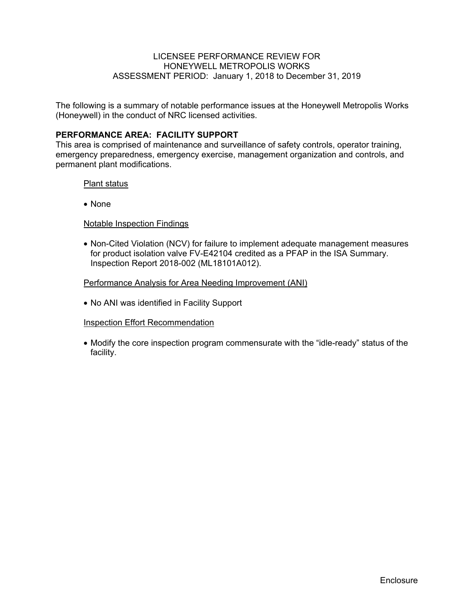### LICENSEE PERFORMANCE REVIEW FOR HONEYWELL METROPOLIS WORKS ASSESSMENT PERIOD: January 1, 2018 to December 31, 2019

The following is a summary of notable performance issues at the Honeywell Metropolis Works (Honeywell) in the conduct of NRC licensed activities.

### **PERFORMANCE AREA: FACILITY SUPPORT**

This area is comprised of maintenance and surveillance of safety controls, operator training, emergency preparedness, emergency exercise, management organization and controls, and permanent plant modifications.

#### Plant status

• None

#### Notable Inspection Findings

• Non-Cited Violation (NCV) for failure to implement adequate management measures for product isolation valve FV-E42104 credited as a PFAP in the ISA Summary. Inspection Report 2018-002 (ML18101A012).

#### Performance Analysis for Area Needing Improvement (ANI)

• No ANI was identified in Facility Support

#### Inspection Effort Recommendation

• Modify the core inspection program commensurate with the "idle-ready" status of the facility.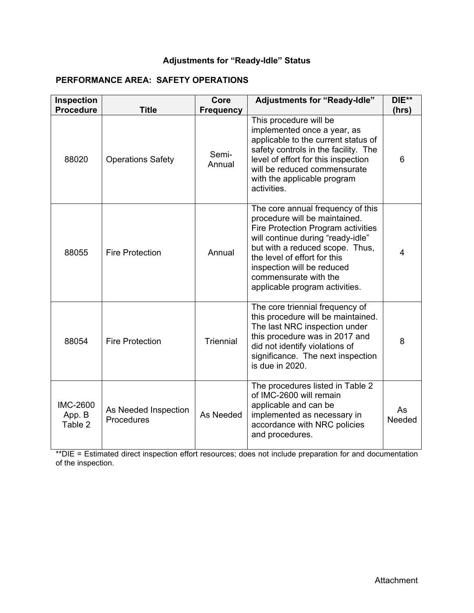## **Adjustments for "Ready-Idle" Status**

## **PERFORMANCE AREA: SAFETY OPERATIONS**

| Inspection<br><b>Procedure</b>       | <b>Title</b>                       | Core<br><b>Frequency</b> | <b>Adjustments for "Ready-Idle"</b>                                                                                                                                                                                                                                                                       | DIE**<br>(hrs) |
|--------------------------------------|------------------------------------|--------------------------|-----------------------------------------------------------------------------------------------------------------------------------------------------------------------------------------------------------------------------------------------------------------------------------------------------------|----------------|
| 88020                                | <b>Operations Safety</b>           | Semi-<br>Annual          | This procedure will be<br>implemented once a year, as<br>applicable to the current status of<br>safety controls in the facility. The<br>level of effort for this inspection<br>will be reduced commensurate<br>with the applicable program<br>activities                                                  | 6              |
| 88055                                | <b>Fire Protection</b>             | Annual                   | The core annual frequency of this<br>procedure will be maintained.<br>Fire Protection Program activities<br>will continue during "ready-idle"<br>but with a reduced scope. Thus,<br>the level of effort for this<br>inspection will be reduced<br>commensurate with the<br>applicable program activities. | 4              |
| 88054                                | <b>Fire Protection</b>             | <b>Triennial</b>         | The core triennial frequency of<br>this procedure will be maintained.<br>The last NRC inspection under<br>this procedure was in 2017 and<br>did not identify violations of<br>significance. The next inspection<br>is due in 2020.                                                                        | 8              |
| <b>IMC-2600</b><br>App. B<br>Table 2 | As Needed Inspection<br>Procedures | As Needed                | The procedures listed in Table 2<br>of IMC-2600 will remain<br>applicable and can be<br>implemented as necessary in<br>accordance with NRC policies<br>and procedures.                                                                                                                                    | As<br>Needed   |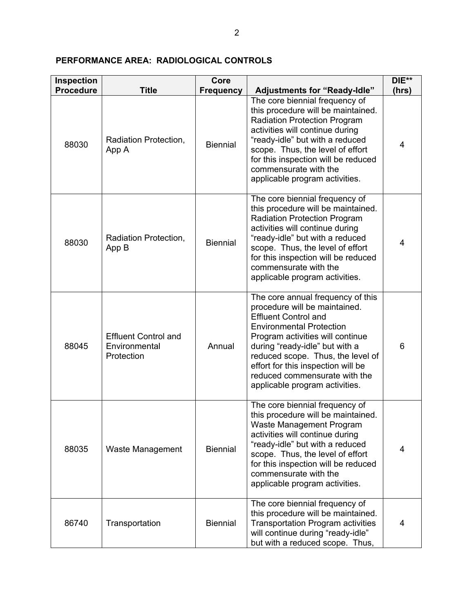## **PERFORMANCE AREA: RADIOLOGICAL CONTROLS**

| Inspection                |                                                            | Core                                |                                                                                                                                                                                                                                                                                                                                                                | $DIE**$    |
|---------------------------|------------------------------------------------------------|-------------------------------------|----------------------------------------------------------------------------------------------------------------------------------------------------------------------------------------------------------------------------------------------------------------------------------------------------------------------------------------------------------------|------------|
| <b>Procedure</b><br>88030 | <b>Title</b><br>Radiation Protection,<br>App A             | <b>Frequency</b><br><b>Biennial</b> | <b>Adjustments for "Ready-Idle"</b><br>The core biennial frequency of<br>this procedure will be maintained.<br><b>Radiation Protection Program</b><br>activities will continue during<br>"ready-idle" but with a reduced<br>scope. Thus, the level of effort<br>for this inspection will be reduced<br>commensurate with the<br>applicable program activities. | (hrs)<br>4 |
| 88030                     | Radiation Protection,<br>App B                             | <b>Biennial</b>                     | The core biennial frequency of<br>this procedure will be maintained.<br><b>Radiation Protection Program</b><br>activities will continue during<br>"ready-idle" but with a reduced<br>scope. Thus, the level of effort<br>for this inspection will be reduced<br>commensurate with the<br>applicable program activities.                                        | 4          |
| 88045                     | <b>Effluent Control and</b><br>Environmental<br>Protection | Annual                              | The core annual frequency of this<br>procedure will be maintained.<br><b>Effluent Control and</b><br><b>Environmental Protection</b><br>Program activities will continue<br>during "ready-idle" but with a<br>reduced scope. Thus, the level of<br>effort for this inspection will be<br>reduced commensurate with the<br>applicable program activities.       | 6          |
| 88035                     | Waste Management                                           | <b>Biennial</b>                     | The core biennial frequency of<br>this procedure will be maintained.<br>Waste Management Program<br>activities will continue during<br>"ready-idle" but with a reduced<br>scope. Thus, the level of effort<br>for this inspection will be reduced<br>commensurate with the<br>applicable program activities.                                                   | 4          |
| 86740                     | Transportation                                             | <b>Biennial</b>                     | The core biennial frequency of<br>this procedure will be maintained.<br><b>Transportation Program activities</b><br>will continue during "ready-idle"<br>but with a reduced scope. Thus,                                                                                                                                                                       | 4          |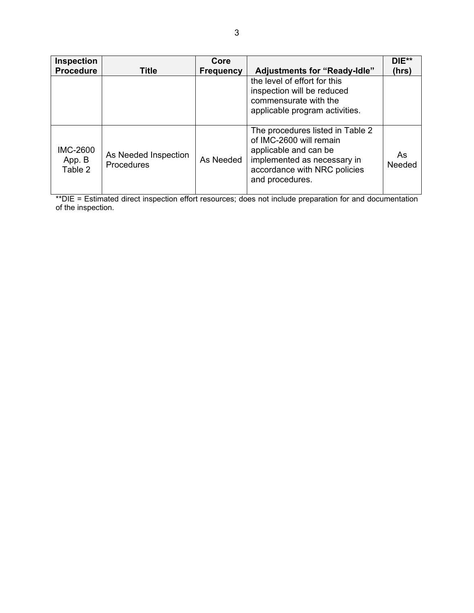| Inspection<br><b>Procedure</b>       | Title                                     | Core<br><b>Frequency</b> | <b>Adjustments for "Ready-Idle"</b>                                                                                                                                    | $DIE**$<br>(hrs) |
|--------------------------------------|-------------------------------------------|--------------------------|------------------------------------------------------------------------------------------------------------------------------------------------------------------------|------------------|
|                                      |                                           |                          | the level of effort for this<br>inspection will be reduced<br>commensurate with the<br>applicable program activities.                                                  |                  |
| <b>IMC-2600</b><br>App. B<br>Table 2 | As Needed Inspection<br><b>Procedures</b> | As Needed                | The procedures listed in Table 2<br>of IMC-2600 will remain<br>applicable and can be<br>implemented as necessary in<br>accordance with NRC policies<br>and procedures. | As<br>Needed     |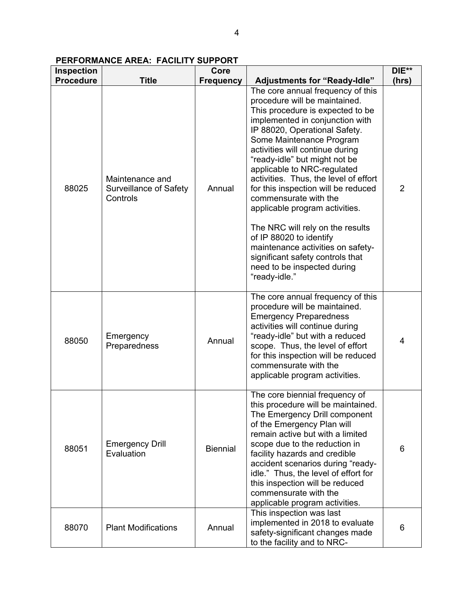## **PERFORMANCE AREA: FACILITY SUPPORT**

| <b>Inspection</b> |                                                       | Core             |                                                                                                                                                                                                                                                                                                                                                                                                                                                      | DIE** |
|-------------------|-------------------------------------------------------|------------------|------------------------------------------------------------------------------------------------------------------------------------------------------------------------------------------------------------------------------------------------------------------------------------------------------------------------------------------------------------------------------------------------------------------------------------------------------|-------|
| <b>Procedure</b>  | <b>Title</b>                                          | <b>Frequency</b> | <b>Adjustments for "Ready-Idle"</b>                                                                                                                                                                                                                                                                                                                                                                                                                  | (hrs) |
| 88025             | Maintenance and<br>Surveillance of Safety<br>Controls | Annual           | The core annual frequency of this<br>procedure will be maintained.<br>This procedure is expected to be<br>implemented in conjunction with<br>IP 88020, Operational Safety.<br>Some Maintenance Program<br>activities will continue during<br>"ready-idle" but might not be<br>applicable to NRC-regulated<br>activities. Thus, the level of effort<br>for this inspection will be reduced<br>commensurate with the<br>applicable program activities. | 2     |
|                   |                                                       |                  | The NRC will rely on the results<br>of IP 88020 to identify<br>maintenance activities on safety-<br>significant safety controls that<br>need to be inspected during<br>"ready-idle."                                                                                                                                                                                                                                                                 |       |
| 88050             | Emergency<br>Preparedness                             | Annual           | The core annual frequency of this<br>procedure will be maintained.<br><b>Emergency Preparedness</b><br>activities will continue during<br>"ready-idle" but with a reduced<br>scope. Thus, the level of effort<br>for this inspection will be reduced<br>commensurate with the<br>applicable program activities.                                                                                                                                      | 4     |
| 88051             | <b>Emergency Drill</b><br>Evaluation                  | <b>Biennial</b>  | The core biennial frequency of<br>this procedure will be maintained.<br>The Emergency Drill component<br>of the Emergency Plan will<br>remain active but with a limited<br>scope due to the reduction in<br>facility hazards and credible<br>accident scenarios during "ready-<br>idle." Thus, the level of effort for<br>this inspection will be reduced<br>commensurate with the<br>applicable program activities.                                 | 6     |
| 88070             | <b>Plant Modifications</b>                            | Annual           | This inspection was last<br>implemented in 2018 to evaluate<br>safety-significant changes made<br>to the facility and to NRC-                                                                                                                                                                                                                                                                                                                        | 6     |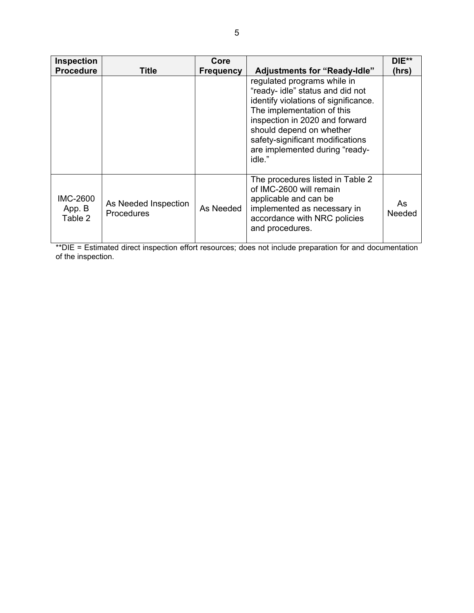| <b>Inspection</b><br><b>Procedure</b> | Title                              | Core<br><b>Frequency</b> | <b>Adjustments for "Ready-Idle"</b>                                                                                                                                                                                                                                                 | DIE**<br>(hrs) |
|---------------------------------------|------------------------------------|--------------------------|-------------------------------------------------------------------------------------------------------------------------------------------------------------------------------------------------------------------------------------------------------------------------------------|----------------|
|                                       |                                    |                          | regulated programs while in<br>"ready- idle" status and did not<br>identify violations of significance.<br>The implementation of this<br>inspection in 2020 and forward<br>should depend on whether<br>safety-significant modifications<br>are implemented during "ready-<br>idle." |                |
| <b>IMC-2600</b><br>App. B<br>Table 2  | As Needed Inspection<br>Procedures | As Needed                | The procedures listed in Table 2<br>of IMC-2600 will remain<br>applicable and can be<br>implemented as necessary in<br>accordance with NRC policies<br>and procedures.                                                                                                              | As<br>Needed   |